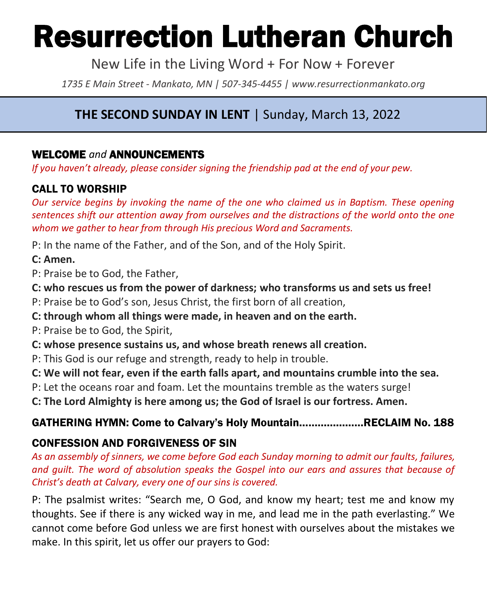# Resurrection Lutheran Church

New Life in the Living Word + For Now + Forever

*1735 E Main Street - Mankato, MN | 507-345-4455 | [www.resurrectionmankato.org](http://www.resurrectionmankato.org/)*

# **THE SECOND SUNDAY IN LENT** | Sunday, March 13, 2022

#### WELCOME *and* ANNOUNCEMENTS

*If you haven't already, please consider signing the friendship pad at the end of your pew.* 

#### CALL TO WORSHIP

*Our service begins by invoking the name of the one who claimed us in Baptism. These opening sentences shift our attention away from ourselves and the distractions of the world onto the one whom we gather to hear from through His precious Word and Sacraments.* 

P: In the name of the Father, and of the Son, and of the Holy Spirit.

#### **C: Amen.**

P: Praise be to God, the Father,

**C: who rescues us from the power of darkness; who transforms us and sets us free!**

P: Praise be to God's son, Jesus Christ, the first born of all creation,

**C: through whom all things were made, in heaven and on the earth.**

P: Praise be to God, the Spirit,

**C: whose presence sustains us, and whose breath renews all creation.**

P: This God is our refuge and strength, ready to help in trouble.

**C: We will not fear, even if the earth falls apart, and mountains crumble into the sea.**

P: Let the oceans roar and foam. Let the mountains tremble as the waters surge!

**C: The Lord Almighty is here among us; the God of Israel is our fortress. Amen.**

#### GATHERING HYMN: Come to Calvary's Holy Mountain…………………RECLAIM No. 188

#### CONFESSION AND FORGIVENESS OF SIN

*As an assembly of sinners, we come before God each Sunday morning to admit our faults, failures, and guilt. The word of absolution speaks the Gospel into our ears and assures that because of Christ's death at Calvary, every one of our sins is covered.* 

P: The psalmist writes: "Search me, O God, and know my heart; test me and know my thoughts. See if there is any wicked way in me, and lead me in the path everlasting." We cannot come before God unless we are first honest with ourselves about the mistakes we make. In this spirit, let us offer our prayers to God: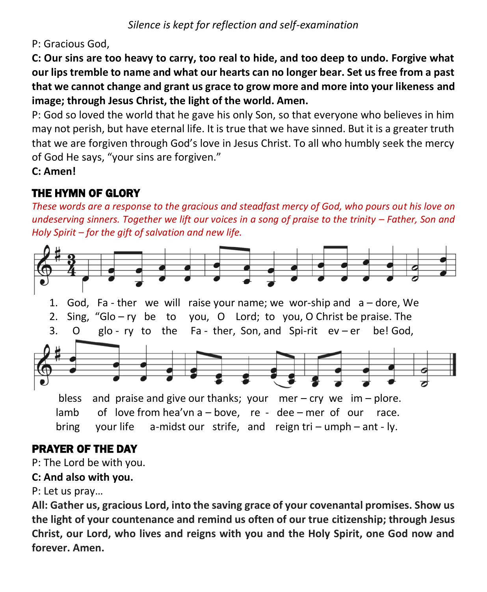P: Gracious God,

**C: Our sins are too heavy to carry, too real to hide, and too deep to undo. Forgive what our lips tremble to name and what our hearts can no longer bear. Set us free from a past that we cannot change and grant us grace to grow more and more into your likeness and image; through Jesus Christ, the light of the world. Amen.** 

P: God so loved the world that he gave his only Son, so that everyone who believes in him may not perish, but have eternal life. It is true that we have sinned. But it is a greater truth that we are forgiven through God's love in Jesus Christ. To all who humbly seek the mercy of God He says, "your sins are forgiven."

**C: Amen!** 

# THE HYMN OF GLORY

*These words are a response to the gracious and steadfast mercy of God, who pours out his love on undeserving sinners. Together we lift our voices in a song of praise to the trinity – Father, Son and Holy Spirit – for the gift of salvation and new life.* 



## PRAYER OF THE DAY

P: The Lord be with you.

#### **C: And also with you.**

#### P: Let us pray…

**All: Gather us, gracious Lord, into the saving grace of your covenantal promises. Show us the light of your countenance and remind us often of our true citizenship; through Jesus Christ, our Lord, who lives and reigns with you and the Holy Spirit, one God now and forever. Amen.**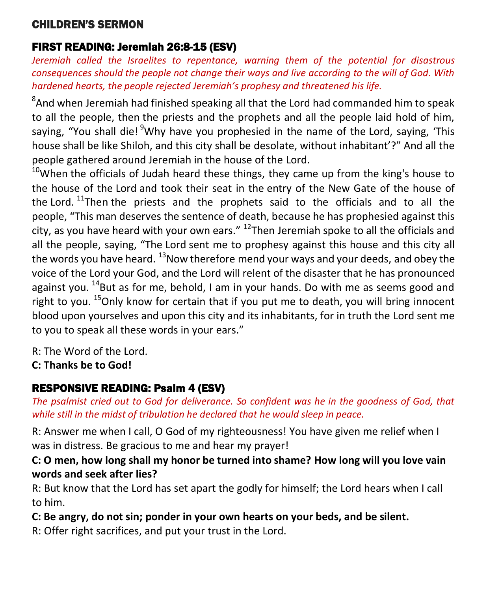#### CHILDREN'S SERMON

#### FIRST READING: Jeremiah 26:8-15 (ESV)

*Jeremiah called the Israelites to repentance, warning them of the potential for disastrous consequences should the people not change their ways and live according to the will of God. With hardened hearts, the people rejected Jeremiah's prophesy and threatened his life.*

 ${}^{8}$ And when Jeremiah had finished speaking all that the Lord had commanded him to speak to all the people, then the priests and the prophets and all the people laid hold of him, saying, "You shall die! <sup>9</sup>Why have you prophesied in the name of the Lord, saying, 'This house shall be like Shiloh, and this city shall be desolate, without inhabitant'?" And all the people gathered around Jeremiah in the house of the Lord.

 $10$ When the officials of Judah heard these things, they came up from the king's house to the house of the Lord and took their seat in the entry of the New Gate of the house of the Lord.  $11$ Then the priests and the prophets said to the officials and to all the people, "This man deserves the sentence of death, because he has prophesied against this city, as you have heard with your own ears."  $^{12}$ Then Jeremiah spoke to all the officials and all the people, saying, "The Lord sent me to prophesy against this house and this city all the words you have heard.  $^{13}$ Now therefore mend your ways and your deeds, and obey the voice of the Lord your God, and the Lord will relent of the disaster that he has pronounced against you.  $14$ But as for me, behold, I am in your hands. Do with me as seems good and right to you.  $^{15}$ Only know for certain that if you put me to death, you will bring innocent blood upon yourselves and upon this city and its inhabitants, for in truth the Lord sent me to you to speak all these words in your ears."

R: The Word of the Lord.

**C: Thanks be to God!** 

### RESPONSIVE READING: Psalm 4 (ESV)

*The psalmist cried out to God for deliverance. So confident was he in the goodness of God, that while still in the midst of tribulation he declared that he would sleep in peace.* 

R: Answer me when I call, O God of my righteousness! You have given me relief when I was in distress. Be gracious to me and hear my prayer!

#### **C: O men, how long shall my honor be turned into shame? How long will you love vain words and seek after lies?**

R: But know that the Lord has set apart the godly for himself; the Lord hears when I call to him.

**C: Be angry, do not sin; ponder in your own hearts on your beds, and be silent.**

R: Offer right sacrifices, and put your trust in the Lord.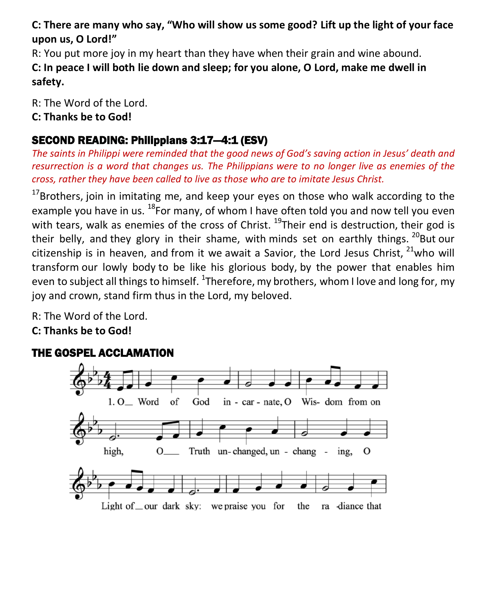#### **C: There are many who say, "Who will show us some good? Lift up the light of your face upon us, O Lord!"**

R: You put more joy in my heart than they have when their grain and wine abound. **C: In peace I will both lie down and sleep; for you alone, O Lord, make me dwell in safety.**

R: The Word of the Lord. **C: Thanks be to God!** 

#### SECOND READING: Philippians 3:17—4:1 (ESV)

*The saints in Philippi were reminded that the good news of God's saving action in Jesus' death and resurrection is a word that changes us. The Philippians were to no longer live as enemies of the cross, rather they have been called to live as those who are to imitate Jesus Christ.* 

 $17$ Brothers, join in imitating me, and keep your eyes on those who walk according to the example you have in us.  $^{18}$ For many, of whom I have often told you and now tell you even with tears, walk as enemies of the cross of Christ.  $^{19}$ Their end is destruction, their god is their belly, and they glory in their shame, with minds set on earthly things.  $^{20}$ But our citizenship is in heaven, and from it we await a Savior, the Lord Jesus Christ,  $21$ who will transform our lowly body to be like his glorious body, by the power that enables him even to subject all things to himself.  $^{1}$ Therefore, my brothers, whom I love and long for, my joy and crown, stand firm thus in the Lord, my beloved.

R: The Word of the Lord. **C: Thanks be to God!** 

#### THE GOSPEL ACCLAMATION

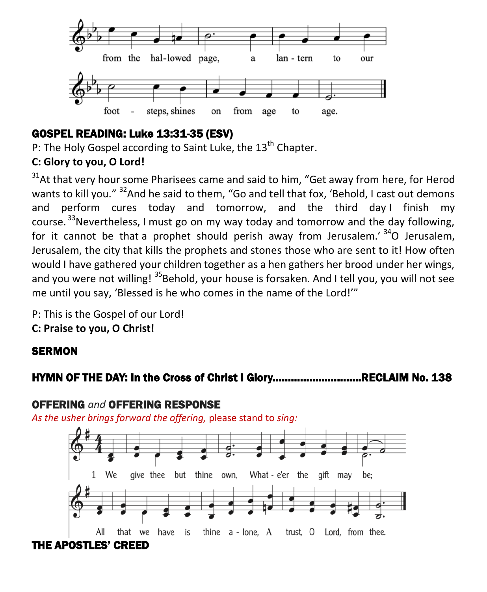

#### GOSPEL READING: Luke 13:31-35 (ESV)

P: The Holy Gospel according to Saint Luke, the 13<sup>th</sup> Chapter.

#### **C: Glory to you, O Lord!**

 $31$ At that very hour some Pharisees came and said to him, "Get away from here, for Herod wants to kill you." <sup>32</sup>And he said to them, "Go and tell that fox, 'Behold, I cast out demons and perform cures today and tomorrow, and the third day I finish my course.  $^{33}$ Nevertheless, I must go on my way today and tomorrow and the day following, for it cannot be that a prophet should perish away from Jerusalem.'  $34$ O Jerusalem, Jerusalem, the city that kills the prophets and stones those who are sent to it! How often would I have gathered your children together as a hen gathers her brood under her wings, and you were not willing! <sup>35</sup>Behold, your house is forsaken. And I tell you, you will not see me until you say, 'Blessed is he who comes in the name of the Lord!'"

P: This is the Gospel of our Lord!

**C: Praise to you, O Christ!** 

#### **SERMON**

#### HYMN OF THE DAY: In the Cross of Christ I Glory………………………..RECLAIM No. 138

#### OFFERING *and* OFFERING RESPONSE

*As the usher brings forward the offering,* please stand to *sing:*

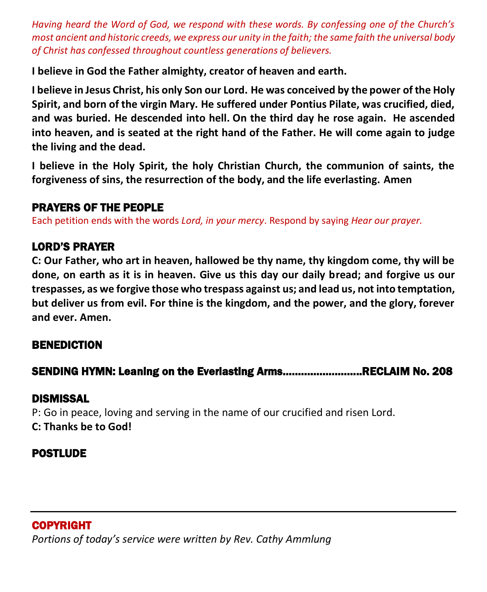*Having heard the Word of God, we respond with these words. By confessing one of the Church's most ancient and historic creeds, we express our unity in the faith; the same faith the universal body of Christ has confessed throughout countless generations of believers.* 

**I believe in God the Father almighty, creator of heaven and earth.**

**I believe in Jesus Christ, his only Son our Lord. He was conceived by the power of the Holy Spirit, and born of the virgin Mary. He suffered under Pontius Pilate, was crucified, died, and was buried. He descended into hell. On the third day he rose again. He ascended into heaven, and is seated at the right hand of the Father. He will come again to judge the living and the dead.**

**I believe in the Holy Spirit, the holy Christian Church, the communion of saints, the forgiveness of sins, the resurrection of the body, and the life everlasting. Amen**

#### PRAYERS OF THE PEOPLE

Each petition ends with the words *Lord, in your mercy*. Respond by saying *Hear our prayer.*

#### LORD'S PRAYER

**C: Our Father, who art in heaven, hallowed be thy name, thy kingdom come, thy will be done, on earth as it is in heaven. Give us this day our daily bread; and forgive us our trespasses, as we forgive those who trespass against us; and lead us, not into temptation, but deliver us from evil. For thine is the kingdom, and the power, and the glory, forever and ever. Amen.**

#### BENEDICTION

#### SENDING HYMN: Leaning on the Everlasting Arms……………………..RECLAIM No. 208

#### DISMISSAL

P: Go in peace, loving and serving in the name of our crucified and risen Lord. **C: Thanks be to God!**

#### POSTLUDE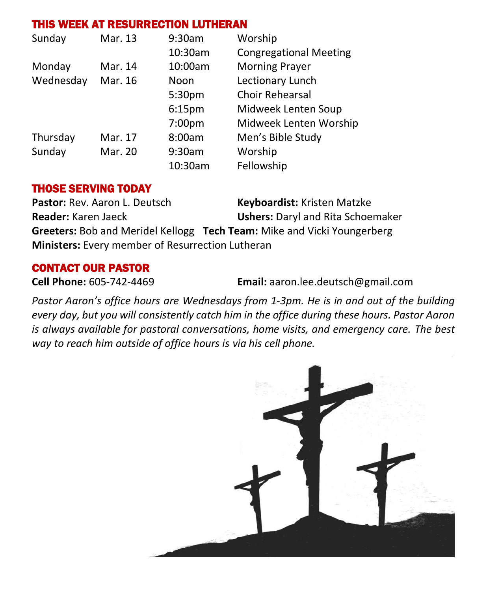#### THIS WEEK AT RESURRECTION LUTHERAN

| Sunday    | Mar. 13 | 9:30am             | Worship                       |
|-----------|---------|--------------------|-------------------------------|
|           |         | 10:30am            | <b>Congregational Meeting</b> |
| Monday    | Mar. 14 | 10:00am            | <b>Morning Prayer</b>         |
| Wednesday | Mar. 16 | Noon               | Lectionary Lunch              |
|           |         | 5:30pm             | <b>Choir Rehearsal</b>        |
|           |         | 6:15 <sub>pm</sub> | Midweek Lenten Soup           |
|           |         | 7:00pm             | Midweek Lenten Worship        |
| Thursday  | Mar. 17 | 8:00am             | Men's Bible Study             |
| Sunday    | Mar. 20 | 9:30am             | Worship                       |
|           |         | 10:30am            | Fellowship                    |

#### THOSE SERVING TODAY

Pastor: Rev. Aaron L. Deutsch **Keyboardist:** Kristen Matzke **Reader:** Karen Jaeck **Ushers:** Daryl and Rita Schoemaker **Greeters:** Bob and Meridel Kellogg **Tech Team:** Mike and Vicki Youngerberg **Ministers:** Every member of Resurrection Lutheran

#### CONTACT OUR PASTOR

**Cell Phone:** 605-742-4469 **Email:** [aaron.lee.deutsch@gmail.com](mailto:aaron.lee.deutsch@gmail.com)

*Pastor Aaron's office hours are Wednesdays from 1-3pm. He is in and out of the building every day, but you will consistently catch him in the office during these hours. Pastor Aaron is always available for pastoral conversations, home visits, and emergency care. The best way to reach him outside of office hours is via his cell phone.*